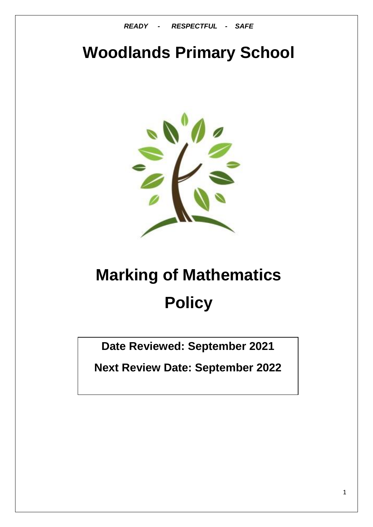*READY - RESPECTFUL - SAFE*

# **Woodlands Primary School**



# **Marking of Mathematics Policy**

**Date Reviewed: September 2021**

**Next Review Date: September 2022**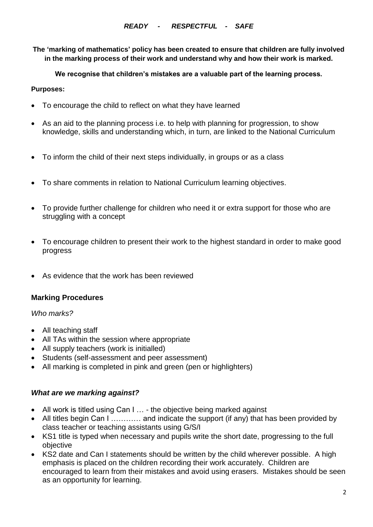**The 'marking of mathematics' policy has been created to ensure that children are fully involved in the marking process of their work and understand why and how their work is marked.**

**We recognise that children's mistakes are a valuable part of the learning process.**

#### **Purposes:**

- To encourage the child to reflect on what they have learned
- As an aid to the planning process i.e. to help with planning for progression, to show knowledge, skills and understanding which, in turn, are linked to the National Curriculum
- To inform the child of their next steps individually, in groups or as a class
- To share comments in relation to National Curriculum learning objectives.
- To provide further challenge for children who need it or extra support for those who are struggling with a concept
- To encourage children to present their work to the highest standard in order to make good progress
- As evidence that the work has been reviewed

## **Marking Procedures**

## *Who marks?*

- All teaching staff
- All TAs within the session where appropriate
- All supply teachers (work is initialled)
- Students (self-assessment and peer assessment)
- All marking is completed in pink and green (pen or highlighters)

## *What are we marking against?*

- All work is titled using Can I ... the objective being marked against
- All titles begin Can I ………… and indicate the support (if any) that has been provided by class teacher or teaching assistants using G/S/I
- KS1 title is typed when necessary and pupils write the short date, progressing to the full objective
- KS2 date and Can I statements should be written by the child wherever possible. A high emphasis is placed on the children recording their work accurately. Children are encouraged to learn from their mistakes and avoid using erasers. Mistakes should be seen as an opportunity for learning.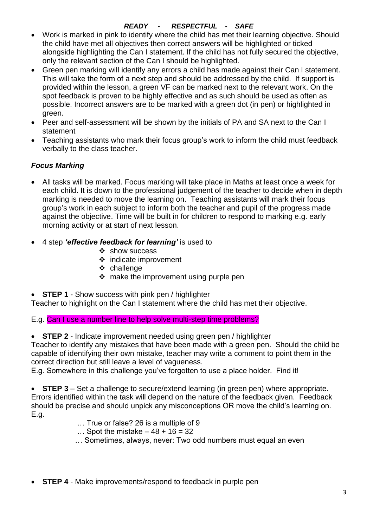# *READY - RESPECTFUL - SAFE*

- Work is marked in pink to identify where the child has met their learning objective. Should the child have met all objectives then correct answers will be highlighted or ticked alongside highlighting the Can I statement. If the child has not fully secured the objective, only the relevant section of the Can I should be highlighted.
- Green pen marking will identify any errors a child has made against their Can I statement. This will take the form of a next step and should be addressed by the child. If support is provided within the lesson, a green VF can be marked next to the relevant work. On the spot feedback is proven to be highly effective and as such should be used as often as possible. Incorrect answers are to be marked with a green dot (in pen) or highlighted in green.
- Peer and self-assessment will be shown by the initials of PA and SA next to the Can I statement
- Teaching assistants who mark their focus group's work to inform the child must feedback verbally to the class teacher.

# *Focus Marking*

- All tasks will be marked. Focus marking will take place in Maths at least once a week for each child. It is down to the professional judgement of the teacher to decide when in depth marking is needed to move the learning on. Teaching assistants will mark their focus group's work in each subject to inform both the teacher and pupil of the progress made against the objective. Time will be built in for children to respond to marking e.g. early morning activity or at start of next lesson.
- 4 step *'effective feedback for learning'* is used to
	- $\div$  show success
	- indicate improvement
	- challenge
	- $\cdot$  make the improvement using purple pen
- **STEP 1** Show success with pink pen / highlighter

Teacher to highlight on the Can I statement where the child has met their objective.

E.g. Can I use a number line to help solve multi-step time problems?

**STEP 2** - Indicate improvement needed using green pen / highlighter

Teacher to identify any mistakes that have been made with a green pen. Should the child be capable of identifying their own mistake, teacher may write a comment to point them in the correct direction but still leave a level of vagueness.

E.g. Somewhere in this challenge you've forgotten to use a place holder. Find it!

 **STEP 3** – Set a challenge to secure/extend learning (in green pen) where appropriate. Errors identified within the task will depend on the nature of the feedback given. Feedback should be precise and should unpick any misconceptions OR move the child's learning on. E.g.

- … True or false? 26 is a multiple of 9
- ... Spot the mistake  $-48 + 16 = 32$
- … Sometimes, always, never: Two odd numbers must equal an even
- **STEP 4** Make improvements/respond to feedback in purple pen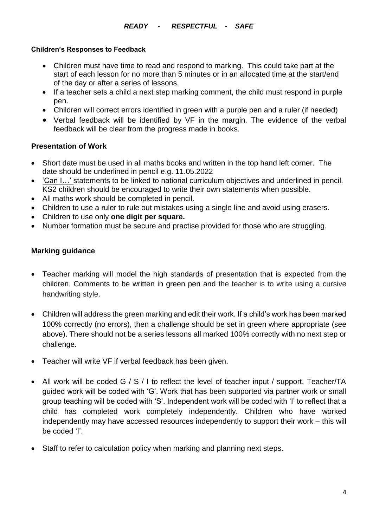### **Children's Responses to Feedback**

- Children must have time to read and respond to marking. This could take part at the start of each lesson for no more than 5 minutes or in an allocated time at the start/end of the day or after a series of lessons.
- If a teacher sets a child a next step marking comment, the child must respond in purple pen.
- Children will correct errors identified in green with a purple pen and a ruler (if needed)
- Verbal feedback will be identified by VF in the margin. The evidence of the verbal feedback will be clear from the progress made in books.

# **Presentation of Work**

- Short date must be used in all maths books and written in the top hand left corner. The date should be underlined in pencil e.g. 11.05.2022
- 'Can I…' statements to be linked to national curriculum objectives and underlined in pencil. KS2 children should be encouraged to write their own statements when possible.
- All maths work should be completed in pencil.
- Children to use a ruler to rule out mistakes using a single line and avoid using erasers.
- Children to use only **one digit per square.**
- Number formation must be secure and practise provided for those who are struggling.

# **Marking guidance**

- Teacher marking will model the high standards of presentation that is expected from the children. Comments to be written in green pen and the teacher is to write using a cursive handwriting style.
- Children will address the green marking and edit their work. If a child's work has been marked 100% correctly (no errors), then a challenge should be set in green where appropriate (see above). There should not be a series lessons all marked 100% correctly with no next step or challenge.
- Teacher will write VF if verbal feedback has been given.
- All work will be coded G / S / I to reflect the level of teacher input / support. Teacher/TA guided work will be coded with 'G'. Work that has been supported via partner work or small group teaching will be coded with 'S'. Independent work will be coded with 'I' to reflect that a child has completed work completely independently. Children who have worked independently may have accessed resources independently to support their work – this will be coded 'I'.
- Staff to refer to calculation policy when marking and planning next steps.